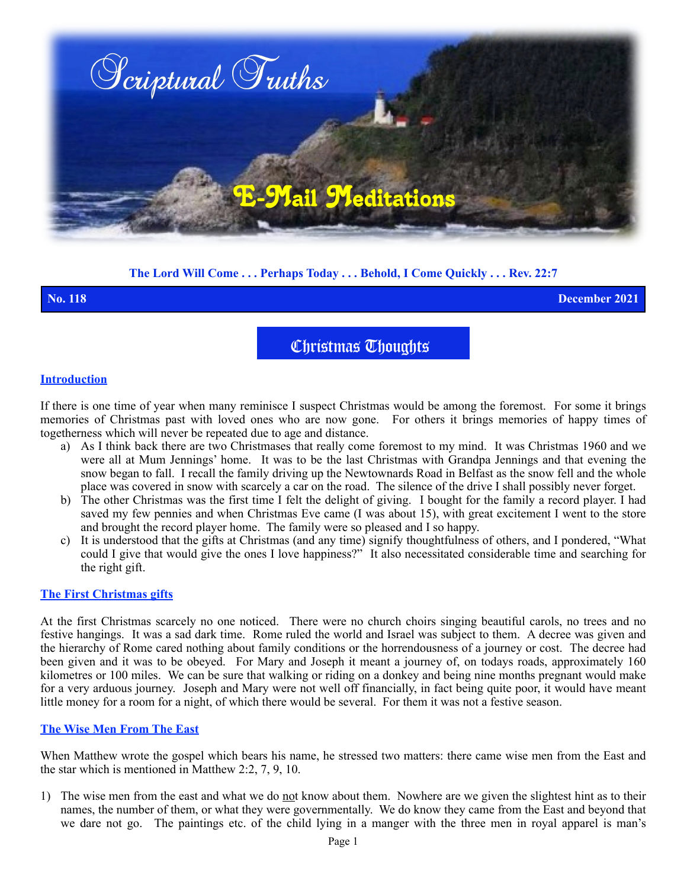

# **The Lord Will Come . . . Perhaps Today . . . Behold, I Come Quickly . . . Rev. 22:7**

**No. 118 December 2021**

Christmas Thoughts

### **Introduction**

If there is one time of year when many reminisce I suspect Christmas would be among the foremost. For some it brings memories of Christmas past with loved ones who are now gone. For others it brings memories of happy times of togetherness which will never be repeated due to age and distance.

- a) As I think back there are two Christmases that really come foremost to my mind. It was Christmas 1960 and we were all at Mum Jennings' home. It was to be the last Christmas with Grandpa Jennings and that evening the snow began to fall. I recall the family driving up the Newtownards Road in Belfast as the snow fell and the whole place was covered in snow with scarcely a car on the road. The silence of the drive I shall possibly never forget.
- b) The other Christmas was the first time I felt the delight of giving. I bought for the family a record player. I had saved my few pennies and when Christmas Eve came (I was about 15), with great excitement I went to the store and brought the record player home. The family were so pleased and I so happy.
- c) It is understood that the gifts at Christmas (and any time) signify thoughtfulness of others, and I pondered, "What could I give that would give the ones I love happiness?" It also necessitated considerable time and searching for the right gift.

## **The First Christmas gifts**

At the first Christmas scarcely no one noticed. There were no church choirs singing beautiful carols, no trees and no festive hangings. It was a sad dark time. Rome ruled the world and Israel was subject to them. A decree was given and the hierarchy of Rome cared nothing about family conditions or the horrendousness of a journey or cost. The decree had been given and it was to be obeyed. For Mary and Joseph it meant a journey of, on todays roads, approximately 160 kilometres or 100 miles. We can be sure that walking or riding on a donkey and being nine months pregnant would make for a very arduous journey. Joseph and Mary were not well off financially, in fact being quite poor, it would have meant little money for a room for a night, of which there would be several. For them it was not a festive season.

## **The Wise Men From The East**

When Matthew wrote the gospel which bears his name, he stressed two matters: there came wise men from the East and the star which is mentioned in Matthew 2:2, 7, 9, 10.

1) The wise men from the east and what we do not know about them. Nowhere are we given the slightest hint as to their names, the number of them, or what they were governmentally. We do know they came from the East and beyond that we dare not go. The paintings etc. of the child lying in a manger with the three men in royal apparel is man's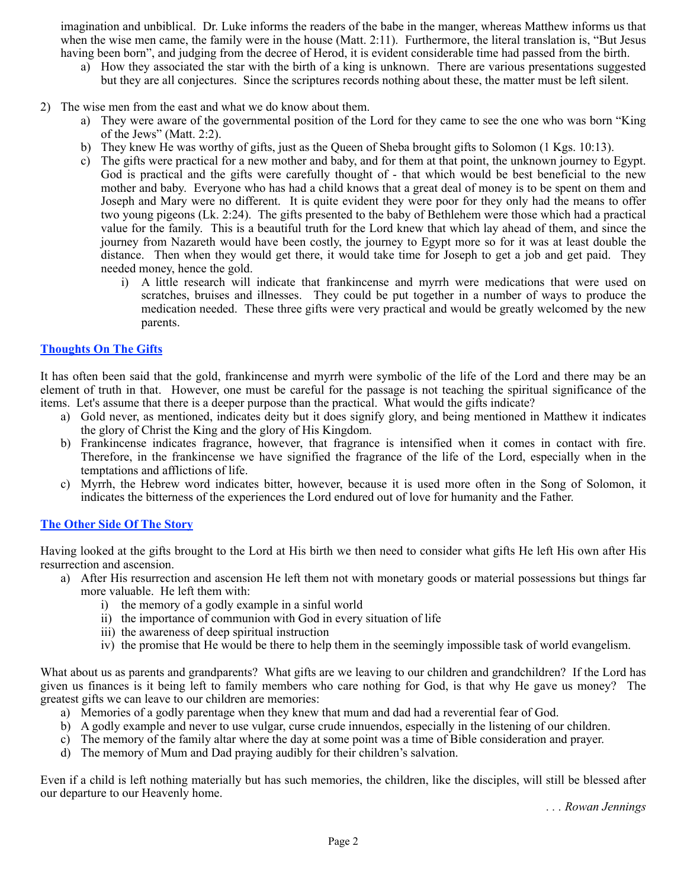imagination and unbiblical. Dr. Luke informs the readers of the babe in the manger, whereas Matthew informs us that when the wise men came, the family were in the house (Matt. 2:11). Furthermore, the literal translation is, "But Jesus having been born", and judging from the decree of Herod, it is evident considerable time had passed from the birth.

- a) How they associated the star with the birth of a king is unknown. There are various presentations suggested but they are all conjectures. Since the scriptures records nothing about these, the matter must be left silent.
- 2) The wise men from the east and what we do know about them.
	- a) They were aware of the governmental position of the Lord for they came to see the one who was born "King of the Jews" (Matt. 2:2).
	- b) They knew He was worthy of gifts, just as the Queen of Sheba brought gifts to Solomon (1 Kgs. 10:13).
	- c) The gifts were practical for a new mother and baby, and for them at that point, the unknown journey to Egypt. God is practical and the gifts were carefully thought of - that which would be best beneficial to the new mother and baby. Everyone who has had a child knows that a great deal of money is to be spent on them and Joseph and Mary were no different. It is quite evident they were poor for they only had the means to offer two young pigeons (Lk. 2:24). The gifts presented to the baby of Bethlehem were those which had a practical value for the family. This is a beautiful truth for the Lord knew that which lay ahead of them, and since the journey from Nazareth would have been costly, the journey to Egypt more so for it was at least double the distance. Then when they would get there, it would take time for Joseph to get a job and get paid. They needed money, hence the gold.
		- i) A little research will indicate that frankincense and myrrh were medications that were used on scratches, bruises and illnesses. They could be put together in a number of ways to produce the medication needed. These three gifts were very practical and would be greatly welcomed by the new parents.

### **Thoughts On The Gifts**

It has often been said that the gold, frankincense and myrrh were symbolic of the life of the Lord and there may be an element of truth in that. However, one must be careful for the passage is not teaching the spiritual significance of the items. Let's assume that there is a deeper purpose than the practical. What would the gifts indicate?

- a) Gold never, as mentioned, indicates deity but it does signify glory, and being mentioned in Matthew it indicates the glory of Christ the King and the glory of His Kingdom.
- b) Frankincense indicates fragrance, however, that fragrance is intensified when it comes in contact with fire. Therefore, in the frankincense we have signified the fragrance of the life of the Lord, especially when in the temptations and afflictions of life.
- c) Myrrh, the Hebrew word indicates bitter, however, because it is used more often in the Song of Solomon, it indicates the bitterness of the experiences the Lord endured out of love for humanity and the Father.

# **The Other Side Of The Story**

Having looked at the gifts brought to the Lord at His birth we then need to consider what gifts He left His own after His resurrection and ascension.

- a) After His resurrection and ascension He left them not with monetary goods or material possessions but things far more valuable. He left them with:
	- i) the memory of a godly example in a sinful world
	- ii) the importance of communion with God in every situation of life
	- iii) the awareness of deep spiritual instruction
	- iv) the promise that He would be there to help them in the seemingly impossible task of world evangelism.

What about us as parents and grandparents? What gifts are we leaving to our children and grandchildren? If the Lord has given us finances is it being left to family members who care nothing for God, is that why He gave us money? The greatest gifts we can leave to our children are memories:

- a) Memories of a godly parentage when they knew that mum and dad had a reverential fear of God.
- b) A godly example and never to use vulgar, curse crude innuendos, especially in the listening of our children.
- c) The memory of the family altar where the day at some point was a time of Bible consideration and prayer.
- d) The memory of Mum and Dad praying audibly for their children's salvation.

Even if a child is left nothing materially but has such memories, the children, like the disciples, will still be blessed after our departure to our Heavenly home.

*. . . Rowan Jennings*